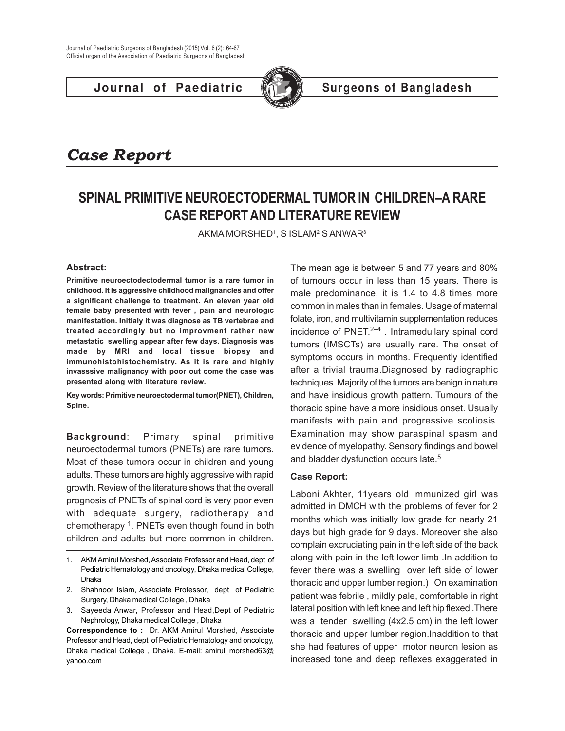**Journal of Paediatric Surgeons of Bangladesh**



# *Case Report*

## **SPINAL PRIMITIVE NEUROECTODERMAL TUMOR IN CHILDREN–A RARE CASE REPORT AND LITERATURE REVIEW**

AKMA MORSHED $^{\rm 1}$ , S ISLAM $^{\rm 2}$  S ANWAR $^{\rm 3}$ 

### **Abstract:**

**Primitive neuroectodectodermal tumor is a rare tumor in childhood. It is aggressive childhood malignancies and offer a significant challenge to treatment. An eleven year old female baby presented with fever , pain and neurologic manifestation. Initialy it was diagnose as TB vertebrae and treated accordingly but no improvment rather new metastatic swelling appear after few days. Diagnosis was made by MRI and local tissue biopsy and immunohistohistochemistry. As it is rare and highly invasssive malignancy with poor out come the case was presented along with literature review.**

**Key words: Primitive neuroectodermal tumor(PNET), Children, Spine.**

**Background**: Primary spinal primitive neuroectodermal tumors (PNETs) are rare tumors. Most of these tumors occur in children and young adults. These tumors are highly aggressive with rapid growth. Review of the literature shows that the overall prognosis of PNETs of spinal cord is very poor even with adequate surgery, radiotherapy and chemotherapy <sup>1</sup>. PNETs even though found in both children and adults but more common in children.

3. Sayeeda Anwar, Professor and Head,Dept of Pediatric Nephrology, Dhaka medical College , Dhaka

**Correspondence to :** Dr. AKM Amirul Morshed, Associate Professor and Head, dept of Pediatric Hematology and oncology, Dhaka medical College , Dhaka, E-mail: amirul\_morshed63@ yahoo.com

The mean age is between 5 and 77 years and 80% of tumours occur in less than 15 years. There is male predominance, it is 1.4 to 4.8 times more common in males than in females. Usage of maternal folate, iron, and multivitamin supplementation reduces incidence of PNET. 2–4 . Intramedullary spinal cord tumors (IMSCTs) are usually rare. The onset of symptoms occurs in months. Frequently identified after a trivial trauma.Diagnosed by radiographic techniques. Majority of the tumors are benign in nature and have insidious growth pattern. Tumours of the thoracic spine have a more insidious onset. Usually manifests with pain and progressive scoliosis. Examination may show paraspinal spasm and evidence of myelopathy. Sensory findings and bowel and bladder dysfunction occurs late.<sup>5</sup>

### **Case Report:**

Laboni Akhter, 11years old immunized girl was admitted in DMCH with the problems of fever for 2 months which was initially low grade for nearly 21 days but high grade for 9 days. Moreover she also complain excruciating pain in the left side of the back along with pain in the left lower limb .In addition to fever there was a swelling over left side of lower thoracic and upper lumber region.) On examination patient was febrile , mildly pale, comfortable in right lateral position with left knee and left hip flexed .There was a tender swelling (4x2.5 cm) in the left lower thoracic and upper lumber region.Inaddition to that she had features of upper motor neuron lesion as increased tone and deep reflexes exaggerated in

<sup>1.</sup> AKM Amirul Morshed, Associate Professor and Head, dept of Pediatric Hematology and oncology, Dhaka medical College, Dhaka

<sup>2.</sup> Shahnoor Islam, Associate Professor, dept of Pediatric Surgery, Dhaka medical College , Dhaka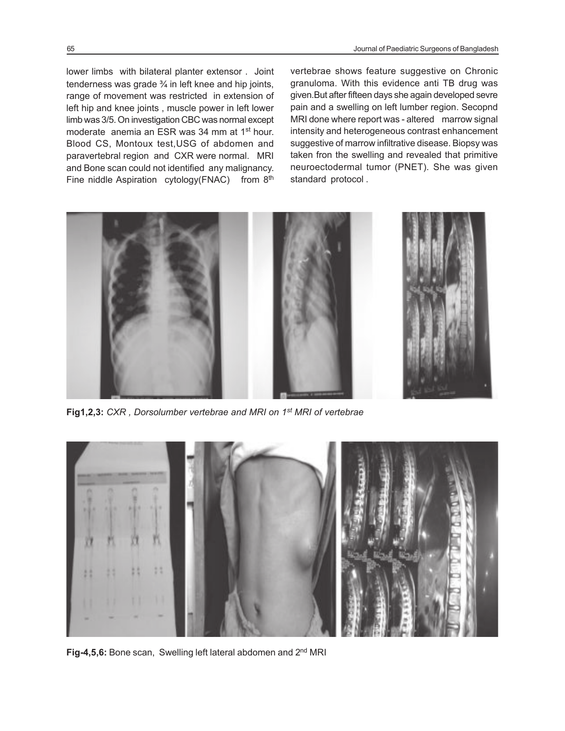lower limbs with bilateral planter extensor . Joint tenderness was grade ¾ in left knee and hip joints, range of movement was restricted in extension of left hip and knee joints , muscle power in left lower limb was 3/5. On investigation CBC was normal except moderate anemia an ESR was 34 mm at 1<sup>st</sup> hour. Blood CS, Montoux test,USG of abdomen and paravertebral region and CXR were normal. MRI and Bone scan could not identified any malignancy. Fine niddle Aspiration cytology(FNAC) from 8<sup>th</sup>

vertebrae shows feature suggestive on Chronic granuloma. With this evidence anti TB drug was given.But after fifteen days she again developed sevre pain and a swelling on left lumber region. Secopnd MRI done where report was - altered marrow signal intensity and heterogeneous contrast enhancement suggestive of marrow infiltrative disease. Biopsy was taken fron the swelling and revealed that primitive neuroectodermal tumor (PNET). She was given standard protocol .



**Fig1,2,3:** *CXR , Dorsolumber vertebrae and MRI on 1st MRI of vertebrae*



**Fig-4,5,6:** Bone scan, Swelling left lateral abdomen and 2nd MRI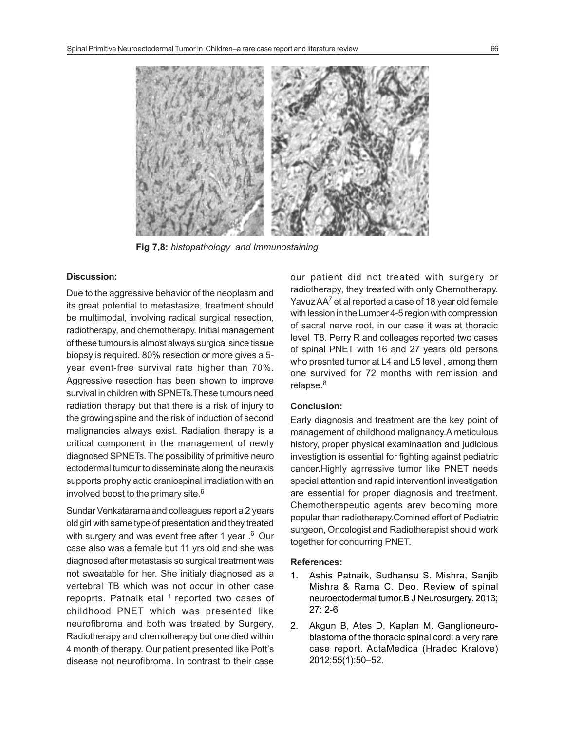

**Fig 7,8:** *histopathology and Immunostaining*

#### **Discussion:**

Due to the aggressive behavior of the neoplasm and its great potential to metastasize, treatment should be multimodal, involving radical surgical resection, radiotherapy, and chemotherapy. Initial management of these tumours is almost always surgical since tissue biopsy is required. 80% resection or more gives a 5 year event-free survival rate higher than 70%. Aggressive resection has been shown to improve survival in children with SPNETs.These tumours need radiation therapy but that there is a risk of injury to the growing spine and the risk of induction of second malignancies always exist. Radiation therapy is a critical component in the management of newly diagnosed SPNETs. The possibility of primitive neuro ectodermal tumour to disseminate along the neuraxis supports prophylactic craniospinal irradiation with an involved boost to the primary site.<sup>6</sup>

Sundar Venkatarama and colleagues report a 2 years old girl with same type of presentation and they treated with surgery and was event free after 1 year .<sup>6</sup> Our case also was a female but 11 yrs old and she was diagnosed after metastasis so surgical treatment was not sweatable for her. She initialy diagnosed as a vertebral TB which was not occur in other case repoprts. Patnaik etal  $1$  reported two cases of childhood PNET which was presented like neurofibroma and both was treated by Surgery, Radiotherapy and chemotherapy but one died within 4 month of therapy. Our patient presented like Pott's disease not neurofibroma. In contrast to their case

our patient did not treated with surgery or radiotherapy, they treated with only Chemotherapy. Yavuz AA<sup>7</sup> et al reported a case of 18 year old female with lession in the Lumber 4-5 region with compression of sacral nerve root, in our case it was at thoracic level T8. Perry R and colleages reported two cases of spinal PNET with 16 and 27 years old persons who presnted tumor at L4 and L5 level , among them one survived for 72 months with remission and relapse.<sup>8</sup>

#### **Conclusion:**

Early diagnosis and treatment are the key point of management of childhood malignancy.A meticulous history, proper physical examinaation and judicious investigtion is essential for fighting against pediatric cancer.Highly agrressive tumor like PNET needs special attention and rapid interventionl investigation are essential for proper diagnosis and treatment. Chemotherapeutic agents arev becoming more popular than radiotherapy.Comined effort of Pediatric surgeon, Oncologist and Radiotherapist should work together for conqurring PNET.

#### **References:**

- 1. Ashis Patnaik, Sudhansu S. Mishra, Sanjib Mishra & Rama C. Deo. Review of spinal neuroectodermal tumor.B J Neurosurgery. 2013; 27: 2-6
- 2. Akgun B, Ates D, Kaplan M. Ganglioneuroblastoma of the thoracic spinal cord: a very rare case report. ActaMedica (Hradec Kralove) 2012;55(1):50–52.